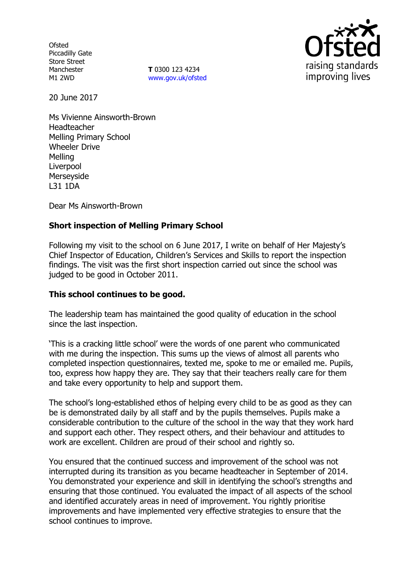**Ofsted** Piccadilly Gate Store Street Manchester M1 2WD

**T** 0300 123 4234 www.gov.uk/ofsted



20 June 2017

Ms Vivienne Ainsworth-Brown Headteacher Melling Primary School Wheeler Drive Melling Liverpool Merseyside L31 1DA

Dear Ms Ainsworth-Brown

# **Short inspection of Melling Primary School**

Following my visit to the school on 6 June 2017, I write on behalf of Her Majesty's Chief Inspector of Education, Children's Services and Skills to report the inspection findings. The visit was the first short inspection carried out since the school was judged to be good in October 2011.

# **This school continues to be good.**

The leadership team has maintained the good quality of education in the school since the last inspection.

'This is a cracking little school' were the words of one parent who communicated with me during the inspection. This sums up the views of almost all parents who completed inspection questionnaires, texted me, spoke to me or emailed me. Pupils, too, express how happy they are. They say that their teachers really care for them and take every opportunity to help and support them.

The school's long-established ethos of helping every child to be as good as they can be is demonstrated daily by all staff and by the pupils themselves. Pupils make a considerable contribution to the culture of the school in the way that they work hard and support each other. They respect others, and their behaviour and attitudes to work are excellent. Children are proud of their school and rightly so.

You ensured that the continued success and improvement of the school was not interrupted during its transition as you became headteacher in September of 2014. You demonstrated your experience and skill in identifying the school's strengths and ensuring that those continued. You evaluated the impact of all aspects of the school and identified accurately areas in need of improvement. You rightly prioritise improvements and have implemented very effective strategies to ensure that the school continues to improve.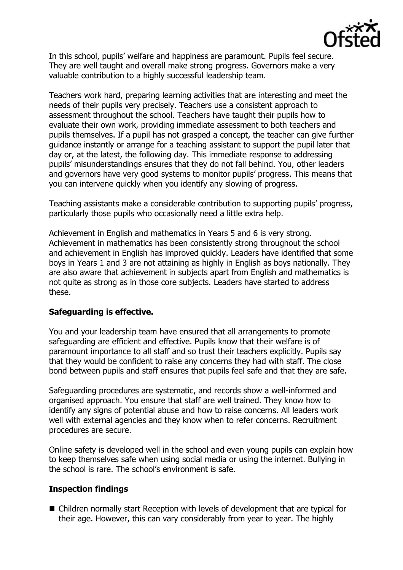

In this school, pupils' welfare and happiness are paramount. Pupils feel secure. They are well taught and overall make strong progress. Governors make a very valuable contribution to a highly successful leadership team.

Teachers work hard, preparing learning activities that are interesting and meet the needs of their pupils very precisely. Teachers use a consistent approach to assessment throughout the school. Teachers have taught their pupils how to evaluate their own work, providing immediate assessment to both teachers and pupils themselves. If a pupil has not grasped a concept, the teacher can give further guidance instantly or arrange for a teaching assistant to support the pupil later that day or, at the latest, the following day. This immediate response to addressing pupils' misunderstandings ensures that they do not fall behind. You, other leaders and governors have very good systems to monitor pupils' progress. This means that you can intervene quickly when you identify any slowing of progress.

Teaching assistants make a considerable contribution to supporting pupils' progress, particularly those pupils who occasionally need a little extra help.

Achievement in English and mathematics in Years 5 and 6 is very strong. Achievement in mathematics has been consistently strong throughout the school and achievement in English has improved quickly. Leaders have identified that some boys in Years 1 and 3 are not attaining as highly in English as boys nationally. They are also aware that achievement in subjects apart from English and mathematics is not quite as strong as in those core subjects. Leaders have started to address these.

### **Safeguarding is effective.**

You and your leadership team have ensured that all arrangements to promote safeguarding are efficient and effective. Pupils know that their welfare is of paramount importance to all staff and so trust their teachers explicitly. Pupils say that they would be confident to raise any concerns they had with staff. The close bond between pupils and staff ensures that pupils feel safe and that they are safe.

Safeguarding procedures are systematic, and records show a well-informed and organised approach. You ensure that staff are well trained. They know how to identify any signs of potential abuse and how to raise concerns. All leaders work well with external agencies and they know when to refer concerns. Recruitment procedures are secure.

Online safety is developed well in the school and even young pupils can explain how to keep themselves safe when using social media or using the internet. Bullying in the school is rare. The school's environment is safe.

### **Inspection findings**

■ Children normally start Reception with levels of development that are typical for their age. However, this can vary considerably from year to year. The highly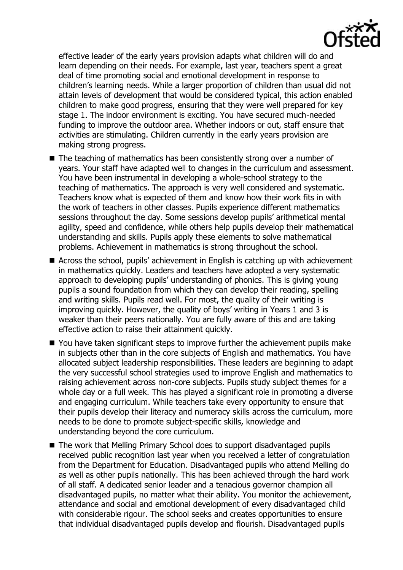

effective leader of the early years provision adapts what children will do and learn depending on their needs. For example, last year, teachers spent a great deal of time promoting social and emotional development in response to children's learning needs. While a larger proportion of children than usual did not attain levels of development that would be considered typical, this action enabled children to make good progress, ensuring that they were well prepared for key stage 1. The indoor environment is exciting. You have secured much-needed funding to improve the outdoor area. Whether indoors or out, staff ensure that activities are stimulating. Children currently in the early years provision are making strong progress.

- The teaching of mathematics has been consistently strong over a number of years. Your staff have adapted well to changes in the curriculum and assessment. You have been instrumental in developing a whole-school strategy to the teaching of mathematics. The approach is very well considered and systematic. Teachers know what is expected of them and know how their work fits in with the work of teachers in other classes. Pupils experience different mathematics sessions throughout the day. Some sessions develop pupils' arithmetical mental agility, speed and confidence, while others help pupils develop their mathematical understanding and skills. Pupils apply these elements to solve mathematical problems. Achievement in mathematics is strong throughout the school.
- Across the school, pupils' achievement in English is catching up with achievement in mathematics quickly. Leaders and teachers have adopted a very systematic approach to developing pupils' understanding of phonics. This is giving young pupils a sound foundation from which they can develop their reading, spelling and writing skills. Pupils read well. For most, the quality of their writing is improving quickly. However, the quality of boys' writing in Years 1 and 3 is weaker than their peers nationally. You are fully aware of this and are taking effective action to raise their attainment quickly.
- You have taken significant steps to improve further the achievement pupils make in subjects other than in the core subjects of English and mathematics. You have allocated subject leadership responsibilities. These leaders are beginning to adapt the very successful school strategies used to improve English and mathematics to raising achievement across non-core subjects. Pupils study subject themes for a whole day or a full week. This has played a significant role in promoting a diverse and engaging curriculum. While teachers take every opportunity to ensure that their pupils develop their literacy and numeracy skills across the curriculum, more needs to be done to promote subject-specific skills, knowledge and understanding beyond the core curriculum.
- The work that Melling Primary School does to support disadvantaged pupils received public recognition last year when you received a letter of congratulation from the Department for Education. Disadvantaged pupils who attend Melling do as well as other pupils nationally. This has been achieved through the hard work of all staff. A dedicated senior leader and a tenacious governor champion all disadvantaged pupils, no matter what their ability. You monitor the achievement, attendance and social and emotional development of every disadvantaged child with considerable rigour. The school seeks and creates opportunities to ensure that individual disadvantaged pupils develop and flourish. Disadvantaged pupils